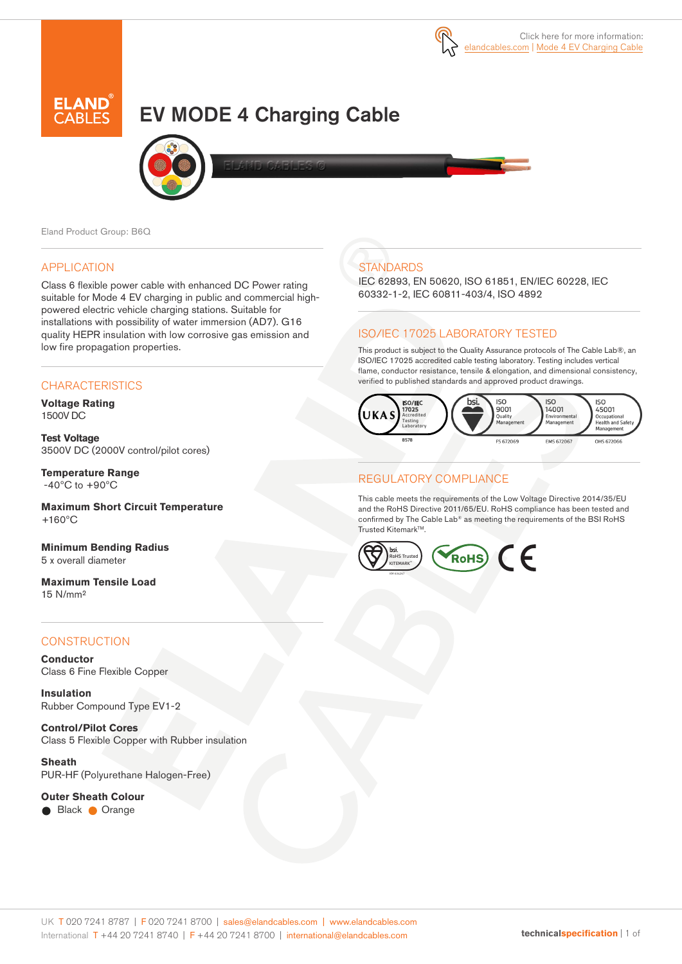

# EV MODE 4 Charging Cable





Eland Product Group: B6Q

# APPLICATION

Class 6 flexible power cable with enhanced DC Power rating suitable for Mode 4 EV charging in public and commercial highpowered electric vehicle charging stations. Suitable for installations with possibility of water immersion (AD7). G16 quality HEPR insulation with low corrosive gas emission and low fire propagation properties.

# **CHARACTERISTICS**

**Voltage Rating** 1500V DC

**Test Voltage** 3500V DC (2000V control/pilot cores)

**Temperature Range**  $-40\degree$ C to  $+90\degree$ C

**Maximum Short Circuit Temperature**  $+160^{\circ}$ C

**Minimum Bending Radius**  5 x overall diameter

**Maximum Tensile Load** 15 N/mm²

#### **CONSTRUCTION**

**Conductor** Class 6 Fine Flexible Copper

**Insulation** Rubber Compound Type EV1-2

**Control/Pilot Cores** Class 5 Flexible Copper with Rubber insulation

**Sheath** PUR-HF (Polyurethane Halogen-Free)

**Outer Sheath Colour**

Black Orange

# **STANDARDS**

IEC 62893, EN 50620, ISO 61851, EN/IEC 60228, IEC 60332-1-2, IEC 60811-403/4, ISO 4892

# ISO/IEC 17025 LABORATORY TESTED

This product is subject to the Quality Assurance protocols of The Cable Lab®, an ISO/IEC 17025 accredited cable testing laboratory. Testing includes vertical flame, conductor resistance, tensile & elongation, and dimensional consistency, verified to published standards and approved product drawings.



# REGULATORY COMPLIANCE

This cable meets the requirements of the Low Voltage Directive 2014/35/EU and the RoHS Directive 2011/65/EU. RoHS compliance has been tested and confirmed by The Cable Lab® as meeting the requirements of the BSI RoHS Trusted Kitemark™.